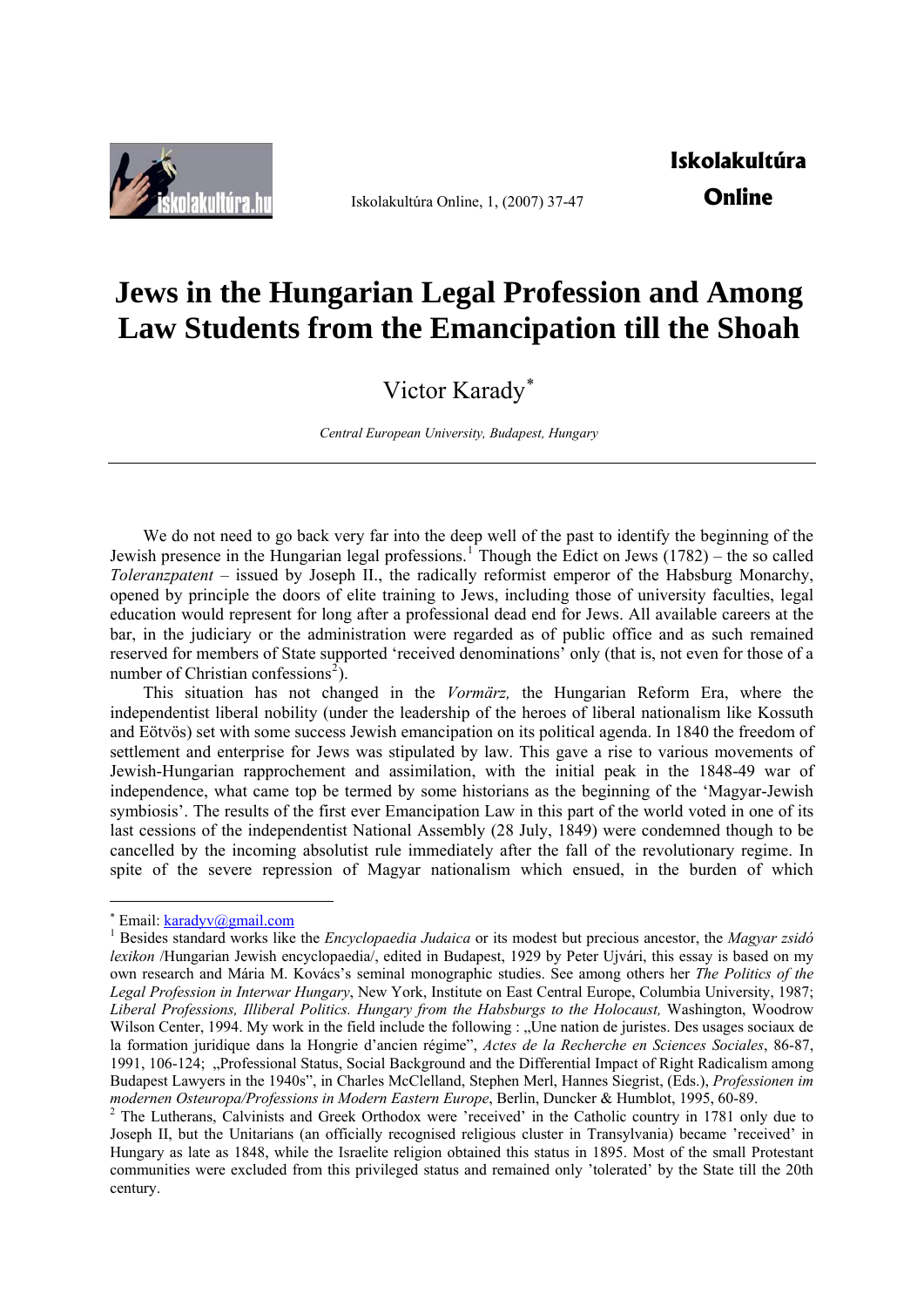

Iskolakultúra Online, 1, (2007) 37-47

## **Jews in the Hungarian Legal Profession and Among Law Students from the Emancipation till the Shoah**

Victor Karady[∗](#page-0-0)

*Central European University, Budapest, Hungary* 

We do not need to go back very far into the deep well of the past to identify the beginning of the Jewish presence in the Hungarian legal professions.<sup>[1](#page-0-1)</sup> Though the Edict on Jews  $(1782)$  – the so called *Toleranzpatent* – issued by Joseph II., the radically reformist emperor of the Habsburg Monarchy, opened by principle the doors of elite training to Jews, including those of university faculties, legal education would represent for long after a professional dead end for Jews. All available careers at the bar, in the judiciary or the administration were regarded as of public office and as such remained reserved for members of State supported 'received denominations' only (that is, not even for those of a number of Christian confessions<sup>[2](#page-0-2)</sup>).

This situation has not changed in the *Vormärz,* the Hungarian Reform Era, where the independentist liberal nobility (under the leadership of the heroes of liberal nationalism like Kossuth and Eötvös) set with some success Jewish emancipation on its political agenda. In 1840 the freedom of settlement and enterprise for Jews was stipulated by law. This gave a rise to various movements of Jewish-Hungarian rapprochement and assimilation, with the initial peak in the 1848-49 war of independence, what came top be termed by some historians as the beginning of the 'Magyar-Jewish symbiosis'. The results of the first ever Emancipation Law in this part of the world voted in one of its last cessions of the independentist National Assembly (28 July, 1849) were condemned though to be cancelled by the incoming absolutist rule immediately after the fall of the revolutionary regime. In spite of the severe repression of Magyar nationalism which ensued, in the burden of which

 $*$  Email:  $\frac{\text{karadyv}(\text{Qgmail.com})}{\text{Perig}(\text{Qgmail})}$ 

<span id="page-0-1"></span><span id="page-0-0"></span>Besides standard works like the *Encyclopaedia Judaica* or its modest but precious ancestor, the *Magyar zsidó lexikon* /Hungarian Jewish encyclopaedia/, edited in Budapest, 1929 by Peter Ujvári, this essay is based on my own research and Mária M. Kovács's seminal monographic studies. See among others her *The Politics of the Legal Profession in Interwar Hungary*, New York, Institute on East Central Europe, Columbia University, 1987; *Liberal Professions, Illiberal Politics. Hungary from the Habsburgs to the Holocaust,* Washington, Woodrow Wilson Center, 1994. My work in the field include the following : "Une nation de juristes. Des usages sociaux de la formation juridique dans la Hongrie d'ancien régime", *Actes de la Recherche en Sciences Sociales*, 86-87, 1991, 106-124; "Professional Status, Social Background and the Differential Impact of Right Radicalism among Budapest Lawyers in the 1940s", in Charles McClelland, Stephen Merl, Hannes Siegrist, (Eds.), *Professionen im modernen Osteuropa/Professions in Modern Eastern Europe*, Berlin, Duncker & Humblot, 1995, 60-89. 2

<span id="page-0-2"></span><sup>&</sup>lt;sup>2</sup> The Lutherans, Calvinists and Greek Orthodox were 'received' in the Catholic country in 1781 only due to Joseph II, but the Unitarians (an officially recognised religious cluster in Transylvania) became 'received' in Hungary as late as 1848, while the Israelite religion obtained this status in 1895. Most of the small Protestant communities were excluded from this privileged status and remained only 'tolerated' by the State till the 20th century.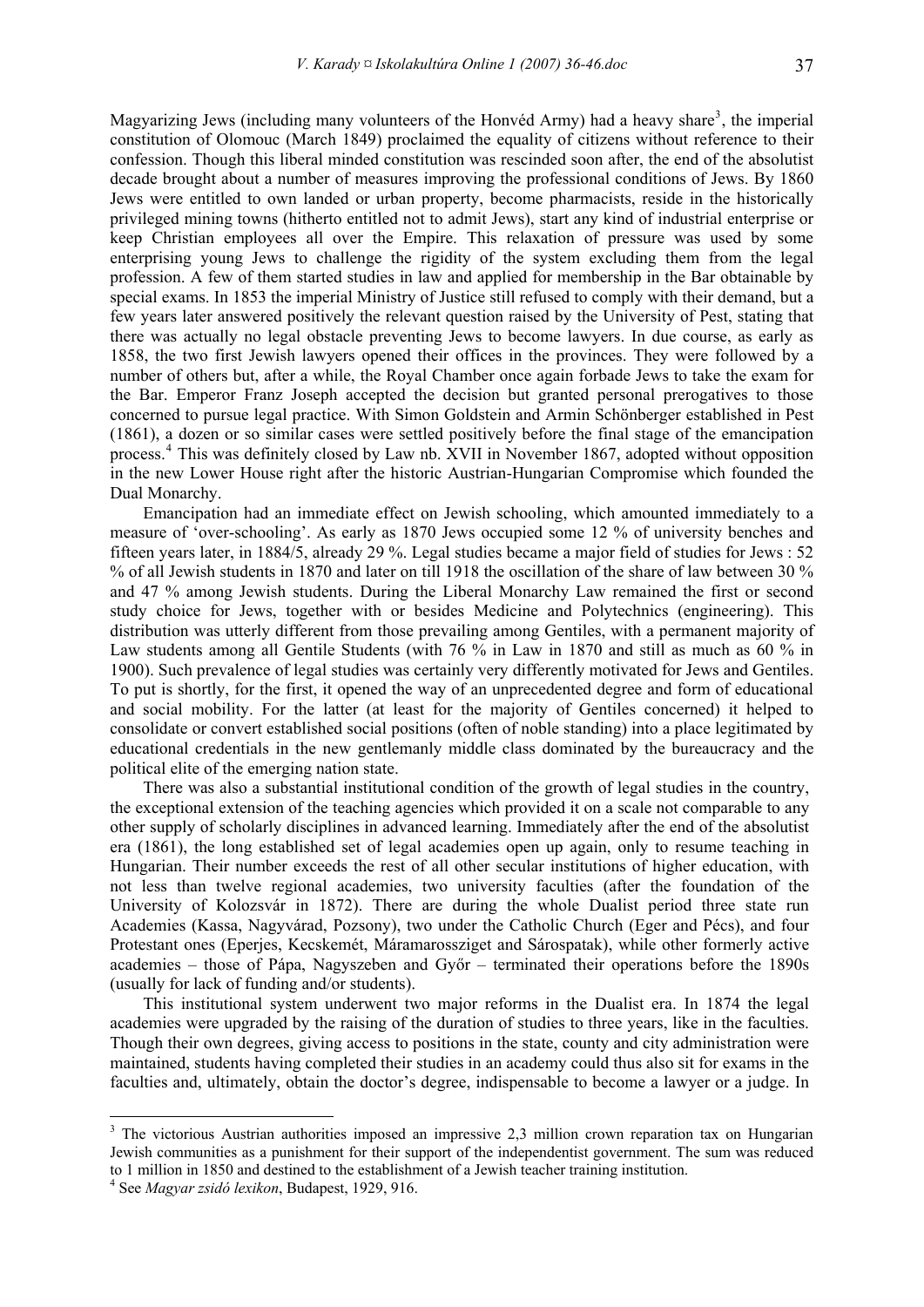Magyarizing Jews (including many volunteers of the Honvéd Army) had a heavy share<sup>[3](#page-1-0)</sup>, the imperial constitution of Olomouc (March 1849) proclaimed the equality of citizens without reference to their confession. Though this liberal minded constitution was rescinded soon after, the end of the absolutist decade brought about a number of measures improving the professional conditions of Jews. By 1860 Jews were entitled to own landed or urban property, become pharmacists, reside in the historically privileged mining towns (hitherto entitled not to admit Jews), start any kind of industrial enterprise or keep Christian employees all over the Empire. This relaxation of pressure was used by some enterprising young Jews to challenge the rigidity of the system excluding them from the legal profession. A few of them started studies in law and applied for membership in the Bar obtainable by special exams. In 1853 the imperial Ministry of Justice still refused to comply with their demand, but a few years later answered positively the relevant question raised by the University of Pest, stating that there was actually no legal obstacle preventing Jews to become lawyers. In due course, as early as 1858, the two first Jewish lawyers opened their offices in the provinces. They were followed by a number of others but, after a while, the Royal Chamber once again forbade Jews to take the exam for the Bar. Emperor Franz Joseph accepted the decision but granted personal prerogatives to those concerned to pursue legal practice. With Simon Goldstein and Armin Schönberger established in Pest (1861), a dozen or so similar cases were settled positively before the final stage of the emancipation process.<sup>[4](#page-1-1)</sup> This was definitely closed by Law nb. XVII in November 1867, adopted without opposition in the new Lower House right after the historic Austrian-Hungarian Compromise which founded the Dual Monarchy.

Emancipation had an immediate effect on Jewish schooling, which amounted immediately to a measure of 'over-schooling'. As early as 1870 Jews occupied some 12 % of university benches and fifteen years later, in 1884/5, already 29 %. Legal studies became a major field of studies for Jews : 52 % of all Jewish students in 1870 and later on till 1918 the oscillation of the share of law between 30 % and 47 % among Jewish students. During the Liberal Monarchy Law remained the first or second study choice for Jews, together with or besides Medicine and Polytechnics (engineering). This distribution was utterly different from those prevailing among Gentiles, with a permanent majority of Law students among all Gentile Students (with 76 % in Law in 1870 and still as much as 60 % in 1900). Such prevalence of legal studies was certainly very differently motivated for Jews and Gentiles. To put is shortly, for the first, it opened the way of an unprecedented degree and form of educational and social mobility. For the latter (at least for the majority of Gentiles concerned) it helped to consolidate or convert established social positions (often of noble standing) into a place legitimated by educational credentials in the new gentlemanly middle class dominated by the bureaucracy and the political elite of the emerging nation state.

There was also a substantial institutional condition of the growth of legal studies in the country, the exceptional extension of the teaching agencies which provided it on a scale not comparable to any other supply of scholarly disciplines in advanced learning. Immediately after the end of the absolutist era (1861), the long established set of legal academies open up again, only to resume teaching in Hungarian. Their number exceeds the rest of all other secular institutions of higher education, with not less than twelve regional academies, two university faculties (after the foundation of the University of Kolozsvár in 1872). There are during the whole Dualist period three state run Academies (Kassa, Nagyvárad, Pozsony), two under the Catholic Church (Eger and Pécs), and four Protestant ones (Eperjes, Kecskemét, Máramarossziget and Sárospatak), while other formerly active academies – those of Pápa, Nagyszeben and Győr – terminated their operations before the 1890s (usually for lack of funding and/or students).

This institutional system underwent two major reforms in the Dualist era. In 1874 the legal academies were upgraded by the raising of the duration of studies to three years, like in the faculties. Though their own degrees, giving access to positions in the state, county and city administration were maintained, students having completed their studies in an academy could thus also sit for exams in the faculties and, ultimately, obtain the doctor's degree, indispensable to become a lawyer or a judge. In

<span id="page-1-0"></span><sup>&</sup>lt;sup>3</sup> The victorious Austrian authorities imposed an impressive 2,3 million crown reparation tax on Hungarian Jewish communities as a punishment for their support of the independentist government. The sum was reduced to 1 million in 1850 and destined to the establishment of a Jewish teacher training institution. 4

<span id="page-1-1"></span>See *Magyar zsidó lexikon*, Budapest, 1929, 916.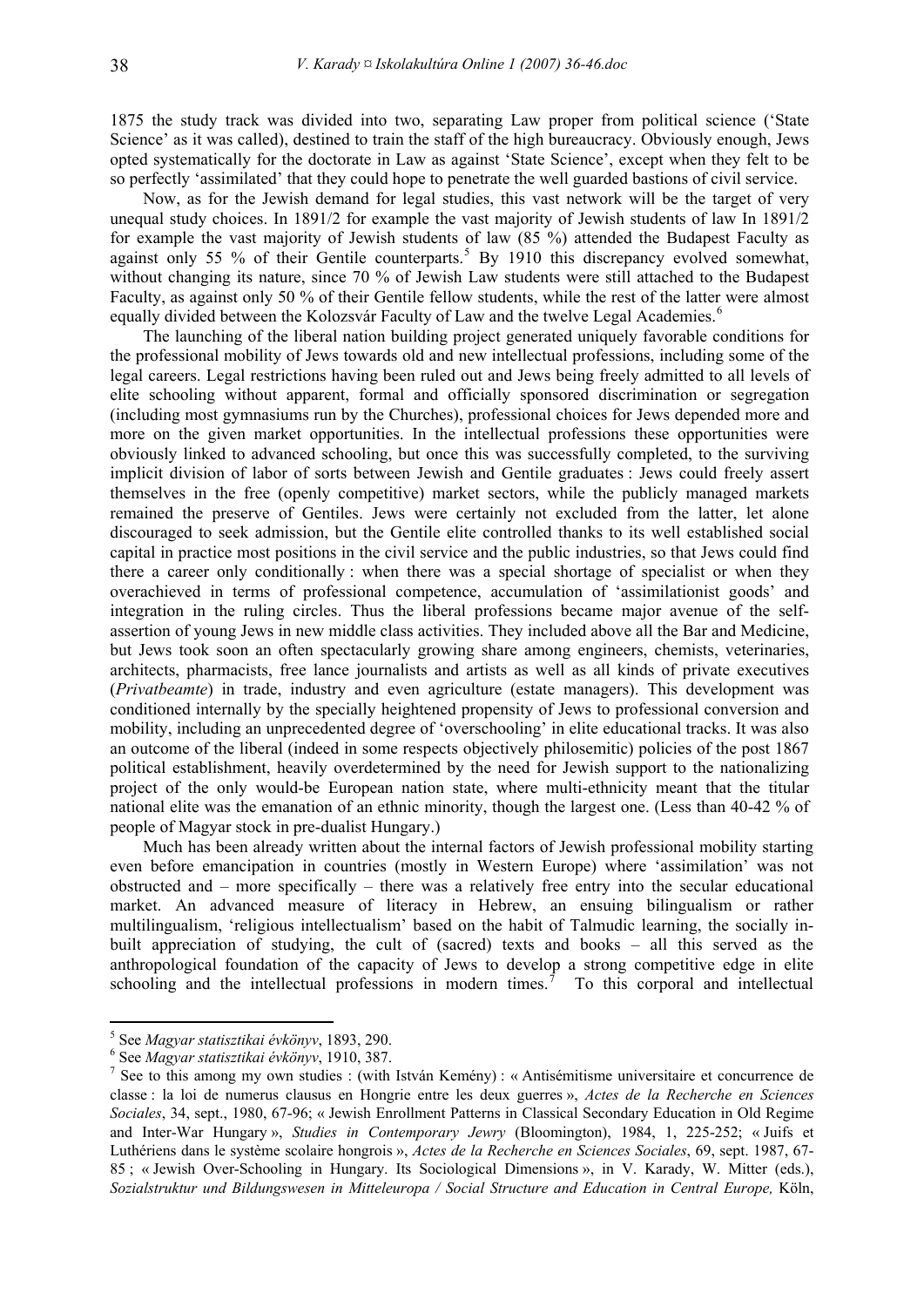1875 the study track was divided into two, separating Law proper from political science ('State Science' as it was called), destined to train the staff of the high bureaucracy. Obviously enough, Jews opted systematically for the doctorate in Law as against 'State Science', except when they felt to be so perfectly 'assimilated' that they could hope to penetrate the well guarded bastions of civil service.

Now, as for the Jewish demand for legal studies, this vast network will be the target of very unequal study choices. In 1891/2 for example the vast majority of Jewish students of law In 1891/2 for example the vast majority of Jewish students of law (85 %) attended the Budapest Faculty as against only [5](#page-2-0)5 % of their Gentile counterparts.<sup>5</sup> By 1910 this discrepancy evolved somewhat, without changing its nature, since 70 % of Jewish Law students were still attached to the Budapest Faculty, as against only 50 % of their Gentile fellow students, while the rest of the latter were almost equally divided between the Kolozsvár Faculty of Law and the twelve Legal Academies.<sup>[6](#page-2-1)</sup>

The launching of the liberal nation building project generated uniquely favorable conditions for the professional mobility of Jews towards old and new intellectual professions, including some of the legal careers. Legal restrictions having been ruled out and Jews being freely admitted to all levels of elite schooling without apparent, formal and officially sponsored discrimination or segregation (including most gymnasiums run by the Churches), professional choices for Jews depended more and more on the given market opportunities. In the intellectual professions these opportunities were obviously linked to advanced schooling, but once this was successfully completed, to the surviving implicit division of labor of sorts between Jewish and Gentile graduates : Jews could freely assert themselves in the free (openly competitive) market sectors, while the publicly managed markets remained the preserve of Gentiles. Jews were certainly not excluded from the latter, let alone discouraged to seek admission, but the Gentile elite controlled thanks to its well established social capital in practice most positions in the civil service and the public industries, so that Jews could find there a career only conditionally : when there was a special shortage of specialist or when they overachieved in terms of professional competence, accumulation of 'assimilationist goods' and integration in the ruling circles. Thus the liberal professions became major avenue of the selfassertion of young Jews in new middle class activities. They included above all the Bar and Medicine, but Jews took soon an often spectacularly growing share among engineers, chemists, veterinaries, architects, pharmacists, free lance journalists and artists as well as all kinds of private executives (*Privatbeamte*) in trade, industry and even agriculture (estate managers). This development was conditioned internally by the specially heightened propensity of Jews to professional conversion and mobility, including an unprecedented degree of 'overschooling' in elite educational tracks. It was also an outcome of the liberal (indeed in some respects objectively philosemitic) policies of the post 1867 political establishment, heavily overdetermined by the need for Jewish support to the nationalizing project of the only would-be European nation state, where multi-ethnicity meant that the titular national elite was the emanation of an ethnic minority, though the largest one. (Less than 40-42 % of people of Magyar stock in pre-dualist Hungary.)

Much has been already written about the internal factors of Jewish professional mobility starting even before emancipation in countries (mostly in Western Europe) where 'assimilation' was not obstructed and – more specifically – there was a relatively free entry into the secular educational market. An advanced measure of literacy in Hebrew, an ensuing bilingualism or rather multilingualism, 'religious intellectualism' based on the habit of Talmudic learning, the socially inbuilt appreciation of studying, the cult of (sacred) texts and books – all this served as the anthropological foundation of the capacity of Jews to develop a strong competitive edge in elite schooling and the intellectual professions in modern times.<sup> $7$ </sup> To this corporal and intellectual

<u>.</u>

<sup>&</sup>lt;sup>5</sup> See *Magyar statisztikai évkönyv*, 1893, 290.<br><sup>6</sup> See *Magyar statisztikai évkönyv*, 1910, 287.

<span id="page-2-1"></span><span id="page-2-0"></span>See *Magyar statisztikai évkönyv*, 1910, 387. 7

<span id="page-2-2"></span><sup>&</sup>lt;sup>7</sup> See to this among my own studies : (with István Kemény) : « Antisémitisme universitaire et concurrence de classe : la loi de numerus clausus en Hongrie entre les deux guerres », *Actes de la Recherche en Sciences Sociales*, 34, sept., 1980, 67-96; « Jewish Enrollment Patterns in Classical Secondary Education in Old Regime and Inter-War Hungary », *Studies in Contemporary Jewry* (Bloomington), 1984, 1, 225-252; « Juifs et Luthériens dans le système scolaire hongrois », *Actes de la Recherche en Sciences Sociales*, 69, sept. 1987, 67- 85 ; « Jewish Over-Schooling in Hungary. Its Sociological Dimensions », in V. Karady, W. Mitter (eds.), *Sozialstruktur und Bildungswesen in Mitteleuropa / Social Structure and Education in Central Europe,* Köln,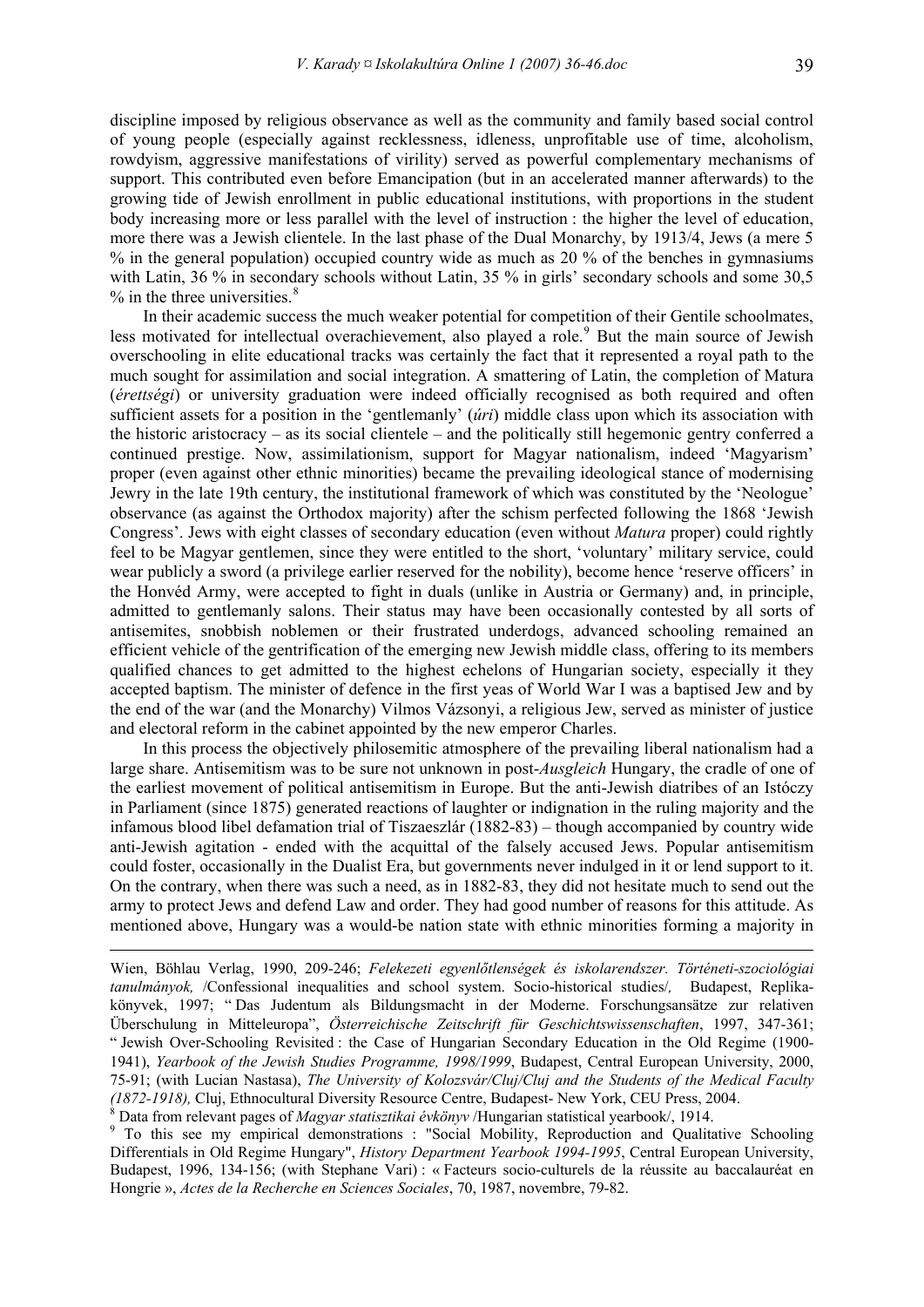discipline imposed by religious observance as well as the community and family based social control of young people (especially against recklessness, idleness, unprofitable use of time, alcoholism, rowdyism, aggressive manifestations of virility) served as powerful complementary mechanisms of support. This contributed even before Emancipation (but in an accelerated manner afterwards) to the growing tide of Jewish enrollment in public educational institutions, with proportions in the student body increasing more or less parallel with the level of instruction : the higher the level of education, more there was a Jewish clientele. In the last phase of the Dual Monarchy, by 1913/4, Jews (a mere 5 % in the general population) occupied country wide as much as 20 % of the benches in gymnasiums with Latin, 36 % in secondary schools without Latin, 35 % in girls' secondary schools and some 30,5  $%$  in the three universities. $8$ 

In their academic success the much weaker potential for competition of their Gentile schoolmates, less motivated for intellectual overachievement, also played a role.<sup>[9](#page-3-1)</sup> But the main source of Jewish overschooling in elite educational tracks was certainly the fact that it represented a royal path to the much sought for assimilation and social integration. A smattering of Latin, the completion of Matura (*érettségi*) or university graduation were indeed officially recognised as both required and often sufficient assets for a position in the 'gentlemanly' (*úri*) middle class upon which its association with the historic aristocracy – as its social clientele – and the politically still hegemonic gentry conferred a continued prestige. Now, assimilationism, support for Magyar nationalism, indeed 'Magyarism' proper (even against other ethnic minorities) became the prevailing ideological stance of modernising Jewry in the late 19th century, the institutional framework of which was constituted by the 'Neologue' observance (as against the Orthodox majority) after the schism perfected following the 1868 'Jewish Congress'. Jews with eight classes of secondary education (even without *Matura* proper) could rightly feel to be Magyar gentlemen, since they were entitled to the short, 'voluntary' military service, could wear publicly a sword (a privilege earlier reserved for the nobility), become hence 'reserve officers' in the Honvéd Army, were accepted to fight in duals (unlike in Austria or Germany) and, in principle, admitted to gentlemanly salons. Their status may have been occasionally contested by all sorts of antisemites, snobbish noblemen or their frustrated underdogs, advanced schooling remained an efficient vehicle of the gentrification of the emerging new Jewish middle class, offering to its members qualified chances to get admitted to the highest echelons of Hungarian society, especially it they accepted baptism. The minister of defence in the first yeas of World War I was a baptised Jew and by the end of the war (and the Monarchy) Vilmos Vázsonyi, a religious Jew, served as minister of justice and electoral reform in the cabinet appointed by the new emperor Charles.

In this process the objectively philosemitic atmosphere of the prevailing liberal nationalism had a large share. Antisemitism was to be sure not unknown in post-*Ausgleich* Hungary, the cradle of one of the earliest movement of political antisemitism in Europe. But the anti-Jewish diatribes of an Istóczy in Parliament (since 1875) generated reactions of laughter or indignation in the ruling majority and the infamous blood libel defamation trial of Tiszaeszlár (1882-83) – though accompanied by country wide anti-Jewish agitation - ended with the acquittal of the falsely accused Jews. Popular antisemitism could foster, occasionally in the Dualist Era, but governments never indulged in it or lend support to it. On the contrary, when there was such a need, as in 1882-83, they did not hesitate much to send out the army to protect Jews and defend Law and order. They had good number of reasons for this attitude. As mentioned above, Hungary was a would-be nation state with ethnic minorities forming a majority in

<span id="page-3-0"></span>Data from relevant pages of *Magyar statisztikai évkönyv* /Hungarian statistical yearbook/, 1914. 9

<u>.</u>

<span id="page-3-1"></span><sup>9</sup> To this see my empirical demonstrations : "Social Mobility, Reproduction and Qualitative Schooling Differentials in Old Regime Hungary", *History Department Yearbook 1994-1995*, Central European University, Budapest, 1996, 134-156; (with Stephane Vari) : « Facteurs socio-culturels de la réussite au baccalauréat en Hongrie », *Actes de la Recherche en Sciences Sociales*, 70, 1987, novembre, 79-82.

Wien, Böhlau Verlag, 1990, 209-246; *Felekezeti egyenlőtlenségek és iskolarendszer. Történeti-szociológiai tanulmányok,* /Confessional inequalities and school system. Socio-historical studies/*,* Budapest, Replikakönyvek, 1997; " Das Judentum als Bildungsmacht in der Moderne. Forschungsansätze zur relativen Überschulung in Mitteleuropa", *Österreichische Zeitschrift für Geschichtswissenschaften*, 1997, 347-361; " Jewish Over-Schooling Revisited : the Case of Hungarian Secondary Education in the Old Regime (1900- 1941), *Yearbook of the Jewish Studies Programme, 1998/1999*, Budapest, Central European University, 2000, 75-91; (with Lucian Nastasa), *The University of Kolozsvár/Cluj/Cluj and the Students of the Medical Faculty (1872-1918),* Cluj, Ethnocultural Diversity Resource Centre, Budapest- New York, CEU Press, 2004. <sup>8</sup>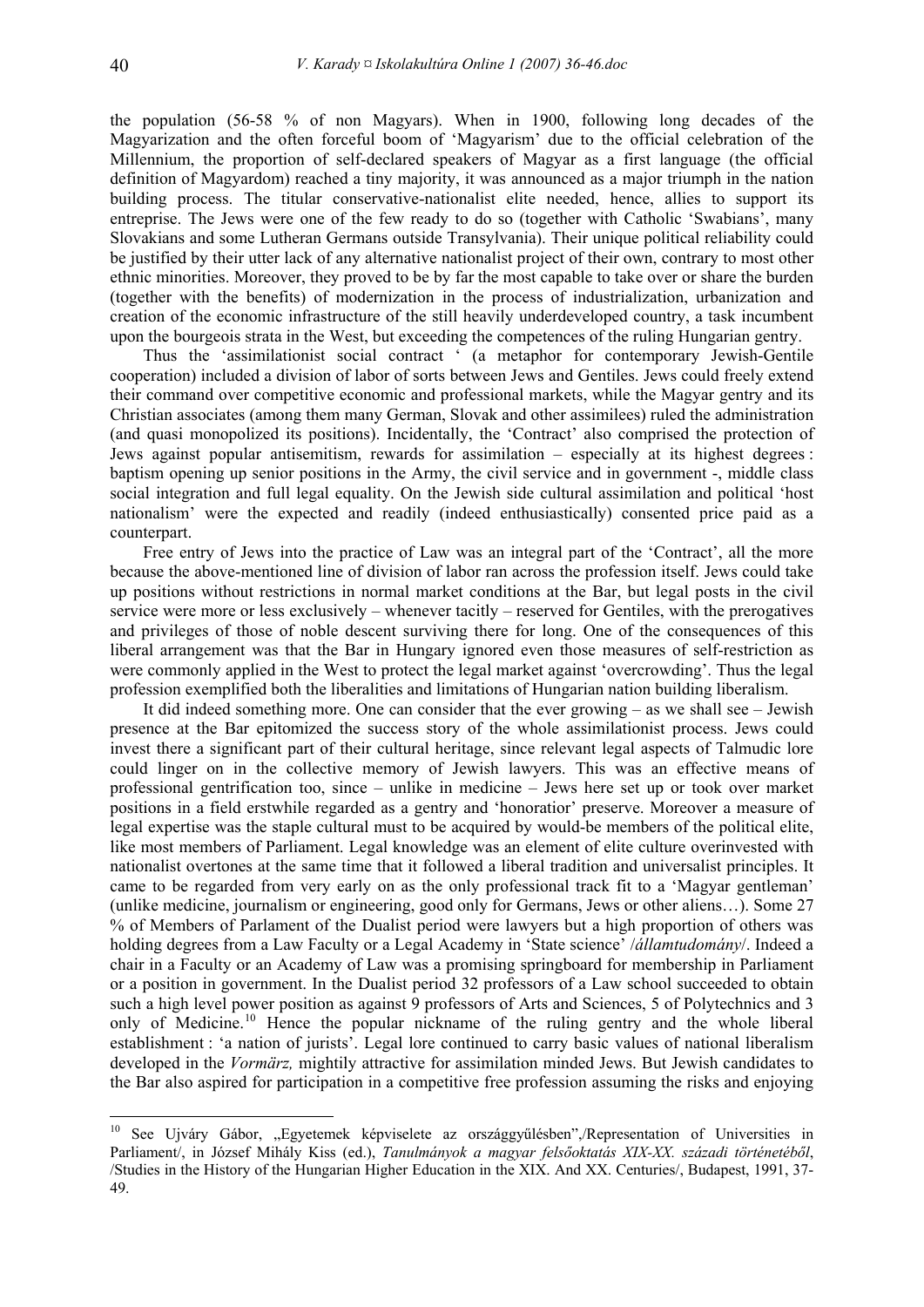the population (56-58 % of non Magyars). When in 1900, following long decades of the Magyarization and the often forceful boom of 'Magyarism' due to the official celebration of the Millennium, the proportion of self-declared speakers of Magyar as a first language (the official definition of Magyardom) reached a tiny majority, it was announced as a major triumph in the nation building process. The titular conservative-nationalist elite needed, hence, allies to support its entreprise. The Jews were one of the few ready to do so (together with Catholic 'Swabians', many Slovakians and some Lutheran Germans outside Transylvania). Their unique political reliability could be justified by their utter lack of any alternative nationalist project of their own, contrary to most other ethnic minorities. Moreover, they proved to be by far the most capable to take over or share the burden (together with the benefits) of modernization in the process of industrialization, urbanization and creation of the economic infrastructure of the still heavily underdeveloped country, a task incumbent upon the bourgeois strata in the West, but exceeding the competences of the ruling Hungarian gentry.

Thus the 'assimilationist social contract ' (a metaphor for contemporary Jewish-Gentile cooperation) included a division of labor of sorts between Jews and Gentiles. Jews could freely extend their command over competitive economic and professional markets, while the Magyar gentry and its Christian associates (among them many German, Slovak and other assimilees) ruled the administration (and quasi monopolized its positions). Incidentally, the 'Contract' also comprised the protection of Jews against popular antisemitism, rewards for assimilation – especially at its highest degrees : baptism opening up senior positions in the Army, the civil service and in government -, middle class social integration and full legal equality. On the Jewish side cultural assimilation and political 'host nationalism' were the expected and readily (indeed enthusiastically) consented price paid as a counterpart.

Free entry of Jews into the practice of Law was an integral part of the 'Contract', all the more because the above-mentioned line of division of labor ran across the profession itself. Jews could take up positions without restrictions in normal market conditions at the Bar, but legal posts in the civil service were more or less exclusively – whenever tacitly – reserved for Gentiles, with the prerogatives and privileges of those of noble descent surviving there for long. One of the consequences of this liberal arrangement was that the Bar in Hungary ignored even those measures of self-restriction as were commonly applied in the West to protect the legal market against 'overcrowding'. Thus the legal profession exemplified both the liberalities and limitations of Hungarian nation building liberalism.

It did indeed something more. One can consider that the ever growing – as we shall see – Jewish presence at the Bar epitomized the success story of the whole assimilationist process. Jews could invest there a significant part of their cultural heritage, since relevant legal aspects of Talmudic lore could linger on in the collective memory of Jewish lawyers. This was an effective means of professional gentrification too, since – unlike in medicine – Jews here set up or took over market positions in a field erstwhile regarded as a gentry and 'honoratior' preserve. Moreover a measure of legal expertise was the staple cultural must to be acquired by would-be members of the political elite, like most members of Parliament. Legal knowledge was an element of elite culture overinvested with nationalist overtones at the same time that it followed a liberal tradition and universalist principles. It came to be regarded from very early on as the only professional track fit to a 'Magyar gentleman' (unlike medicine, journalism or engineering, good only for Germans, Jews or other aliens…). Some 27 % of Members of Parlament of the Dualist period were lawyers but a high proportion of others was holding degrees from a Law Faculty or a Legal Academy in 'State science' /*államtudomány*/. Indeed a chair in a Faculty or an Academy of Law was a promising springboard for membership in Parliament or a position in government. In the Dualist period 32 professors of a Law school succeeded to obtain such a high level power position as against 9 professors of Arts and Sciences, 5 of Polytechnics and 3 only of Medicine.[10](#page-4-0) Hence the popular nickname of the ruling gentry and the whole liberal establishment : 'a nation of jurists'. Legal lore continued to carry basic values of national liberalism developed in the *Vormärz,* mightily attractive for assimilation minded Jews. But Jewish candidates to the Bar also aspired for participation in a competitive free profession assuming the risks and enjoying

<span id="page-4-0"></span><sup>&</sup>lt;sup>10</sup> See Ujváry Gábor, "Egyetemek képviselete az országgyűlésben",/Representation of Universities in Parliament/, in József Mihály Kiss (ed.), *Tanulmányok a magyar felsőoktatás XIX-XX. századi történetéből*, /Studies in the History of the Hungarian Higher Education in the XIX. And XX. Centuries/, Budapest, 1991, 37- 49.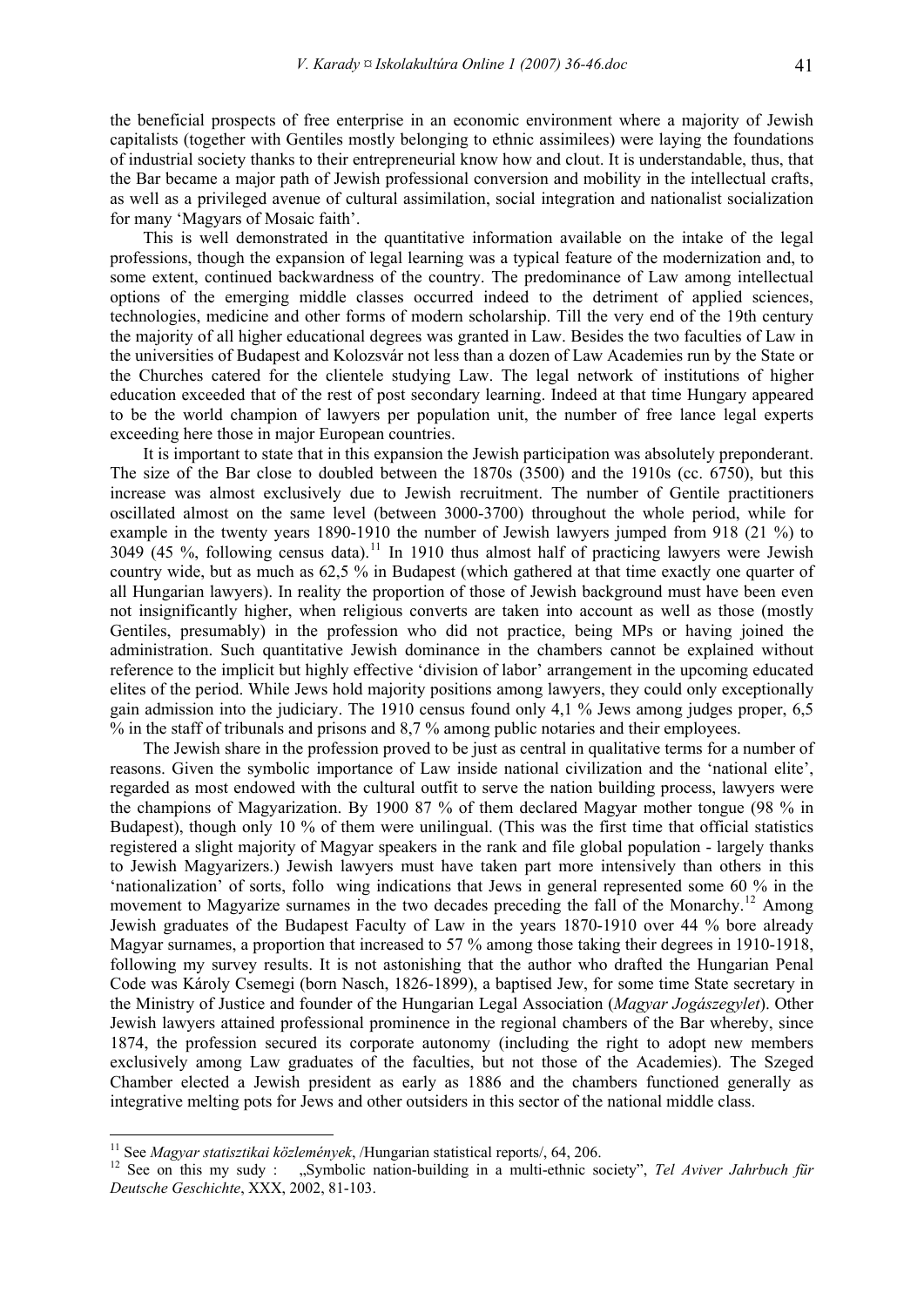the beneficial prospects of free enterprise in an economic environment where a majority of Jewish capitalists (together with Gentiles mostly belonging to ethnic assimilees) were laying the foundations of industrial society thanks to their entrepreneurial know how and clout. It is understandable, thus, that the Bar became a major path of Jewish professional conversion and mobility in the intellectual crafts, as well as a privileged avenue of cultural assimilation, social integration and nationalist socialization for many 'Magyars of Mosaic faith'.

This is well demonstrated in the quantitative information available on the intake of the legal professions, though the expansion of legal learning was a typical feature of the modernization and, to some extent, continued backwardness of the country. The predominance of Law among intellectual options of the emerging middle classes occurred indeed to the detriment of applied sciences, technologies, medicine and other forms of modern scholarship. Till the very end of the 19th century the majority of all higher educational degrees was granted in Law. Besides the two faculties of Law in the universities of Budapest and Kolozsvár not less than a dozen of Law Academies run by the State or the Churches catered for the clientele studying Law. The legal network of institutions of higher education exceeded that of the rest of post secondary learning. Indeed at that time Hungary appeared to be the world champion of lawyers per population unit, the number of free lance legal experts exceeding here those in major European countries.

It is important to state that in this expansion the Jewish participation was absolutely preponderant. The size of the Bar close to doubled between the 1870s (3500) and the 1910s (cc. 6750), but this increase was almost exclusively due to Jewish recruitment. The number of Gentile practitioners oscillated almost on the same level (between 3000-3700) throughout the whole period, while for example in the twenty years 1890-1910 the number of Jewish lawyers jumped from 918 (21 %) to  $3049(45\%$ , following census data).<sup>[11](#page-5-0)</sup> In 1910 thus almost half of practicing lawyers were Jewish country wide, but as much as 62,5 % in Budapest (which gathered at that time exactly one quarter of all Hungarian lawyers). In reality the proportion of those of Jewish background must have been even not insignificantly higher, when religious converts are taken into account as well as those (mostly Gentiles, presumably) in the profession who did not practice, being MPs or having joined the administration. Such quantitative Jewish dominance in the chambers cannot be explained without reference to the implicit but highly effective 'division of labor' arrangement in the upcoming educated elites of the period. While Jews hold majority positions among lawyers, they could only exceptionally gain admission into the judiciary. The 1910 census found only 4,1 % Jews among judges proper, 6,5 % in the staff of tribunals and prisons and 8,7 % among public notaries and their employees.

The Jewish share in the profession proved to be just as central in qualitative terms for a number of reasons. Given the symbolic importance of Law inside national civilization and the 'national elite', regarded as most endowed with the cultural outfit to serve the nation building process, lawyers were the champions of Magyarization. By 1900 87 % of them declared Magyar mother tongue (98 % in Budapest), though only 10 % of them were unilingual. (This was the first time that official statistics registered a slight majority of Magyar speakers in the rank and file global population - largely thanks to Jewish Magyarizers.) Jewish lawyers must have taken part more intensively than others in this 'nationalization' of sorts, follo wing indications that Jews in general represented some 60 % in the movement to Magyarize surnames in the two decades preceding the fall of the Monarchy.<sup>[12](#page-5-1)</sup> Among Jewish graduates of the Budapest Faculty of Law in the years 1870-1910 over 44 % bore already Magyar surnames, a proportion that increased to 57 % among those taking their degrees in 1910-1918. following my survey results. It is not astonishing that the author who drafted the Hungarian Penal Code was Károly Csemegi (born Nasch, 1826-1899), a baptised Jew, for some time State secretary in the Ministry of Justice and founder of the Hungarian Legal Association (*Magyar Jogászegylet*). Other Jewish lawyers attained professional prominence in the regional chambers of the Bar whereby, since 1874, the profession secured its corporate autonomy (including the right to adopt new members exclusively among Law graduates of the faculties, but not those of the Academies). The Szeged Chamber elected a Jewish president as early as 1886 and the chambers functioned generally as integrative melting pots for Jews and other outsiders in this sector of the national middle class.

<span id="page-5-1"></span><span id="page-5-0"></span><sup>&</sup>lt;sup>11</sup> See *Magyar statisztikai közlemények*, /Hungarian statistical reports/, 64, 206.<br><sup>12</sup> See on this my sudy : "Symbolic nation-building in a multi-ethnic society", *Tel Aviver Jahrbuch für Deutsche Geschichte*, XXX, 2002, 81-103.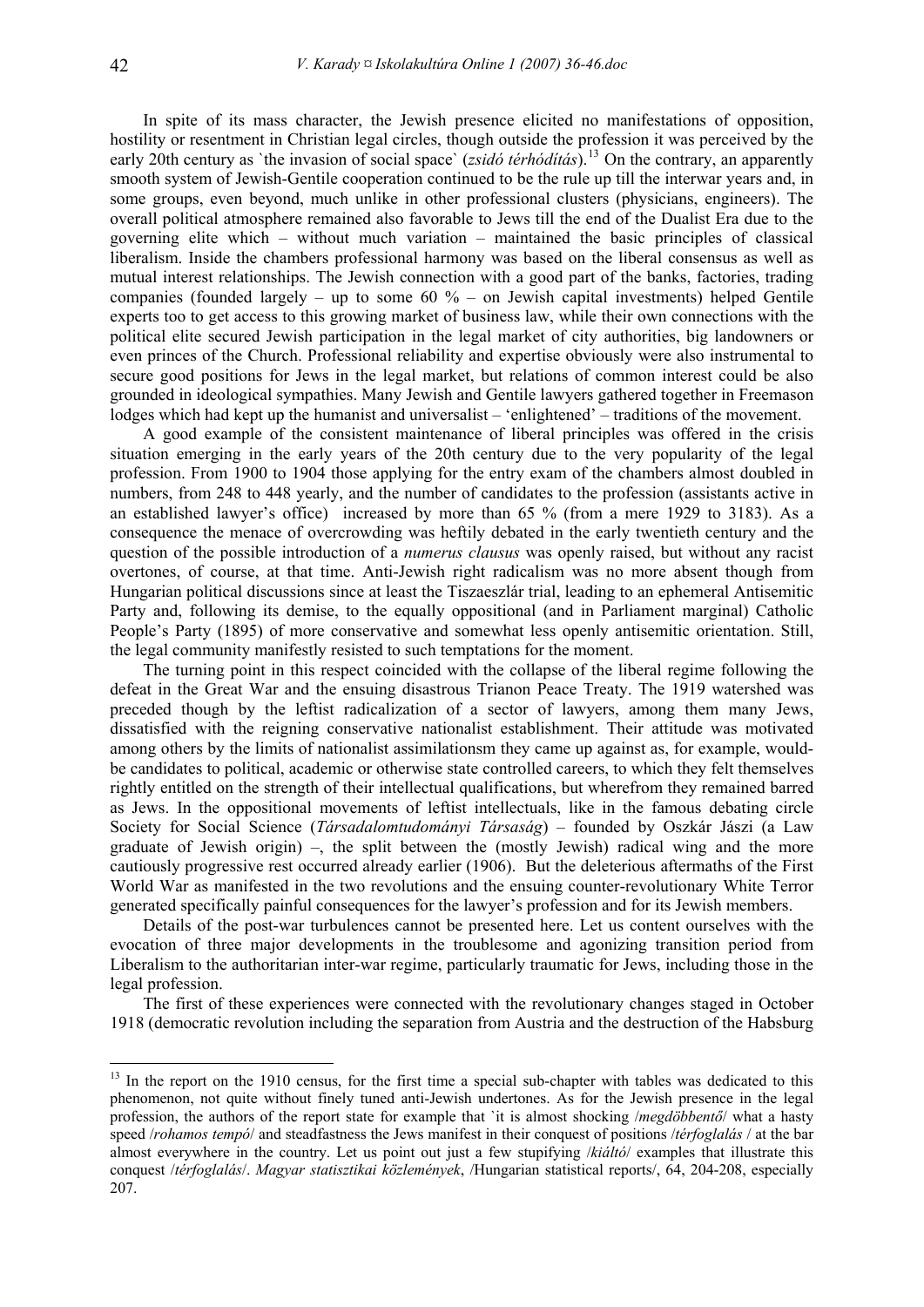In spite of its mass character, the Jewish presence elicited no manifestations of opposition, hostility or resentment in Christian legal circles, though outside the profession it was perceived by the early 20th century as `the invasion of social space` (*zsidó térhódítás*).<sup>[13](#page-6-0)</sup> On the contrary, an apparently smooth system of Jewish-Gentile cooperation continued to be the rule up till the interwar years and, in some groups, even beyond, much unlike in other professional clusters (physicians, engineers). The overall political atmosphere remained also favorable to Jews till the end of the Dualist Era due to the governing elite which – without much variation – maintained the basic principles of classical liberalism. Inside the chambers professional harmony was based on the liberal consensus as well as mutual interest relationships. The Jewish connection with a good part of the banks, factories, trading companies (founded largely – up to some  $60\%$  – on Jewish capital investments) helped Gentile experts too to get access to this growing market of business law, while their own connections with the political elite secured Jewish participation in the legal market of city authorities, big landowners or even princes of the Church. Professional reliability and expertise obviously were also instrumental to secure good positions for Jews in the legal market, but relations of common interest could be also grounded in ideological sympathies. Many Jewish and Gentile lawyers gathered together in Freemason lodges which had kept up the humanist and universalist – 'enlightened' – traditions of the movement.

A good example of the consistent maintenance of liberal principles was offered in the crisis situation emerging in the early years of the 20th century due to the very popularity of the legal profession. From 1900 to 1904 those applying for the entry exam of the chambers almost doubled in numbers, from 248 to 448 yearly, and the number of candidates to the profession (assistants active in an established lawyer's office) increased by more than 65 % (from a mere 1929 to 3183). As a consequence the menace of overcrowding was heftily debated in the early twentieth century and the question of the possible introduction of a *numerus clausus* was openly raised, but without any racist overtones, of course, at that time. Anti-Jewish right radicalism was no more absent though from Hungarian political discussions since at least the Tiszaeszlár trial, leading to an ephemeral Antisemitic Party and, following its demise, to the equally oppositional (and in Parliament marginal) Catholic People's Party (1895) of more conservative and somewhat less openly antisemitic orientation. Still, the legal community manifestly resisted to such temptations for the moment.

The turning point in this respect coincided with the collapse of the liberal regime following the defeat in the Great War and the ensuing disastrous Trianon Peace Treaty. The 1919 watershed was preceded though by the leftist radicalization of a sector of lawyers, among them many Jews, dissatisfied with the reigning conservative nationalist establishment. Their attitude was motivated among others by the limits of nationalist assimilationsm they came up against as, for example, wouldbe candidates to political, academic or otherwise state controlled careers, to which they felt themselves rightly entitled on the strength of their intellectual qualifications, but wherefrom they remained barred as Jews. In the oppositional movements of leftist intellectuals, like in the famous debating circle Society for Social Science (*Társadalomtudományi Társaság*) – founded by Oszkár Jászi (a Law graduate of Jewish origin) –, the split between the (mostly Jewish) radical wing and the more cautiously progressive rest occurred already earlier (1906). But the deleterious aftermaths of the First World War as manifested in the two revolutions and the ensuing counter-revolutionary White Terror generated specifically painful consequences for the lawyer's profession and for its Jewish members.

Details of the post-war turbulences cannot be presented here. Let us content ourselves with the evocation of three major developments in the troublesome and agonizing transition period from Liberalism to the authoritarian inter-war regime, particularly traumatic for Jews, including those in the legal profession.

The first of these experiences were connected with the revolutionary changes staged in October 1918 (democratic revolution including the separation from Austria and the destruction of the Habsburg

<span id="page-6-0"></span><sup>&</sup>lt;sup>13</sup> In the report on the 1910 census, for the first time a special sub-chapter with tables was dedicated to this phenomenon, not quite without finely tuned anti-Jewish undertones. As for the Jewish presence in the legal profession, the authors of the report state for example that `it is almost shocking /*megdöbbentő*/ what a hasty speed /*rohamos tempó*/ and steadfastness the Jews manifest in their conquest of positions /*térfoglalás* / at the bar almost everywhere in the country. Let us point out just a few stupifying /*kiáltó*/ examples that illustrate this conquest /*térfoglalás*/. *Magyar statisztikai közlemények*, /Hungarian statistical reports/, 64, 204-208, especially 207.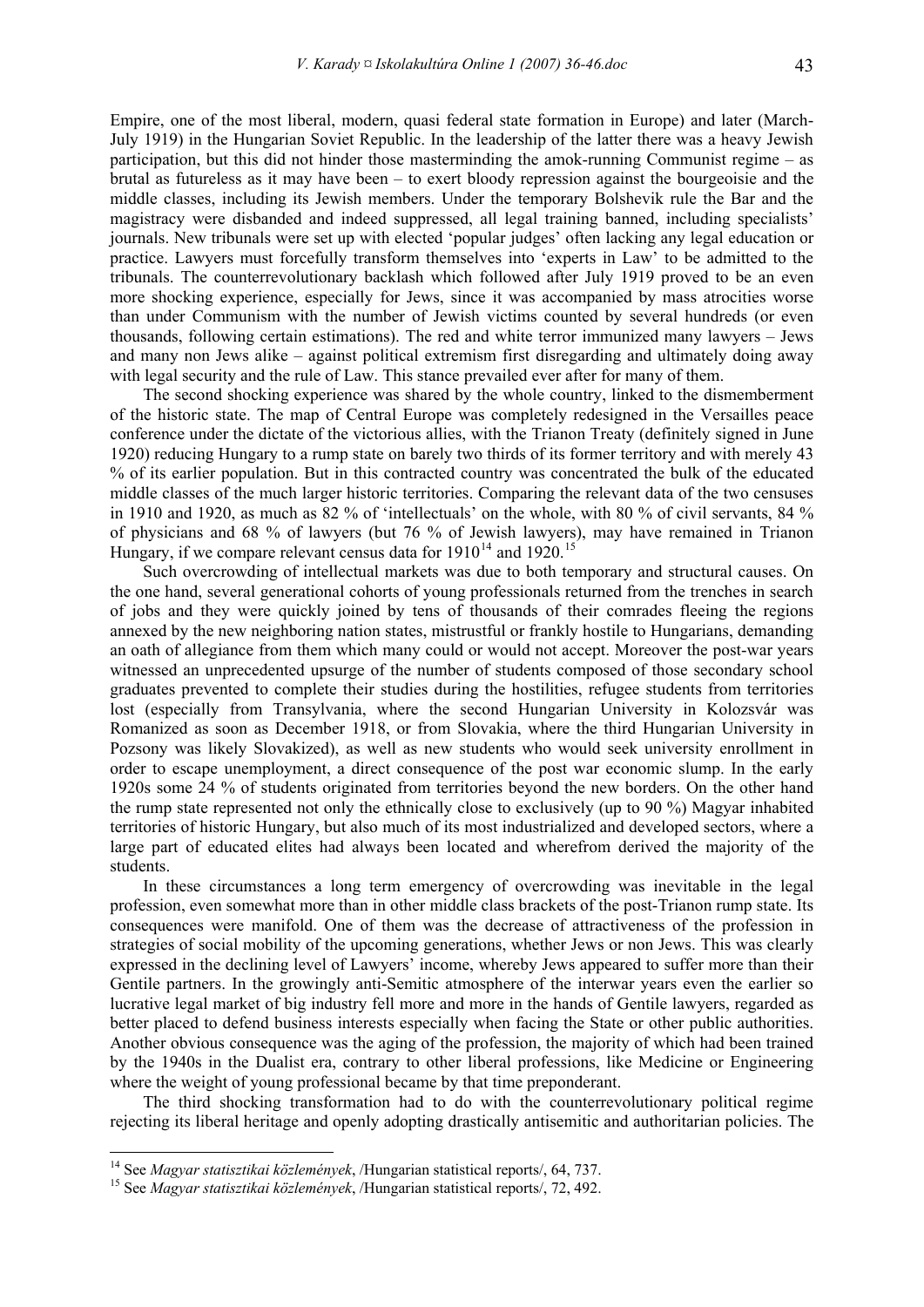Empire, one of the most liberal, modern, quasi federal state formation in Europe) and later (March-July 1919) in the Hungarian Soviet Republic. In the leadership of the latter there was a heavy Jewish participation, but this did not hinder those masterminding the amok-running Communist regime – as brutal as futureless as it may have been – to exert bloody repression against the bourgeoisie and the middle classes, including its Jewish members. Under the temporary Bolshevik rule the Bar and the magistracy were disbanded and indeed suppressed, all legal training banned, including specialists' journals. New tribunals were set up with elected 'popular judges' often lacking any legal education or practice. Lawyers must forcefully transform themselves into 'experts in Law' to be admitted to the tribunals. The counterrevolutionary backlash which followed after July 1919 proved to be an even more shocking experience, especially for Jews, since it was accompanied by mass atrocities worse than under Communism with the number of Jewish victims counted by several hundreds (or even thousands, following certain estimations). The red and white terror immunized many lawyers – Jews and many non Jews alike – against political extremism first disregarding and ultimately doing away with legal security and the rule of Law. This stance prevailed ever after for many of them.

The second shocking experience was shared by the whole country, linked to the dismemberment of the historic state. The map of Central Europe was completely redesigned in the Versailles peace conference under the dictate of the victorious allies, with the Trianon Treaty (definitely signed in June 1920) reducing Hungary to a rump state on barely two thirds of its former territory and with merely 43 % of its earlier population. But in this contracted country was concentrated the bulk of the educated middle classes of the much larger historic territories. Comparing the relevant data of the two censuses in 1910 and 1920, as much as 82 % of 'intellectuals' on the whole, with 80 % of civil servants, 84 % of physicians and 68 % of lawyers (but 76 % of Jewish lawyers), may have remained in Trianon Hungary, if we compare relevant census data for  $1910^{14}$  $1910^{14}$  $1910^{14}$  and  $1920^{15}$  $1920^{15}$  $1920^{15}$ 

Such overcrowding of intellectual markets was due to both temporary and structural causes. On the one hand, several generational cohorts of young professionals returned from the trenches in search of jobs and they were quickly joined by tens of thousands of their comrades fleeing the regions annexed by the new neighboring nation states, mistrustful or frankly hostile to Hungarians, demanding an oath of allegiance from them which many could or would not accept. Moreover the post-war years witnessed an unprecedented upsurge of the number of students composed of those secondary school graduates prevented to complete their studies during the hostilities, refugee students from territories lost (especially from Transylvania, where the second Hungarian University in Kolozsvár was Romanized as soon as December 1918, or from Slovakia, where the third Hungarian University in Pozsony was likely Slovakized), as well as new students who would seek university enrollment in order to escape unemployment, a direct consequence of the post war economic slump. In the early 1920s some 24 % of students originated from territories beyond the new borders. On the other hand the rump state represented not only the ethnically close to exclusively (up to 90 %) Magyar inhabited territories of historic Hungary, but also much of its most industrialized and developed sectors, where a large part of educated elites had always been located and wherefrom derived the majority of the students.

In these circumstances a long term emergency of overcrowding was inevitable in the legal profession, even somewhat more than in other middle class brackets of the post-Trianon rump state. Its consequences were manifold. One of them was the decrease of attractiveness of the profession in strategies of social mobility of the upcoming generations, whether Jews or non Jews. This was clearly expressed in the declining level of Lawyers' income, whereby Jews appeared to suffer more than their Gentile partners. In the growingly anti-Semitic atmosphere of the interwar years even the earlier so lucrative legal market of big industry fell more and more in the hands of Gentile lawyers, regarded as better placed to defend business interests especially when facing the State or other public authorities. Another obvious consequence was the aging of the profession, the majority of which had been trained by the 1940s in the Dualist era, contrary to other liberal professions, like Medicine or Engineering where the weight of young professional became by that time preponderant.

The third shocking transformation had to do with the counterrevolutionary political regime rejecting its liberal heritage and openly adopting drastically antisemitic and authoritarian policies. The

<u>.</u>

<span id="page-7-0"></span><sup>14</sup> See *Magyar statisztikai közlemények*, /Hungarian statistical reports/, 64, 737. 15 See *Magyar statisztikai közlemények*, /Hungarian statistical reports/, 72, 492.

<span id="page-7-1"></span>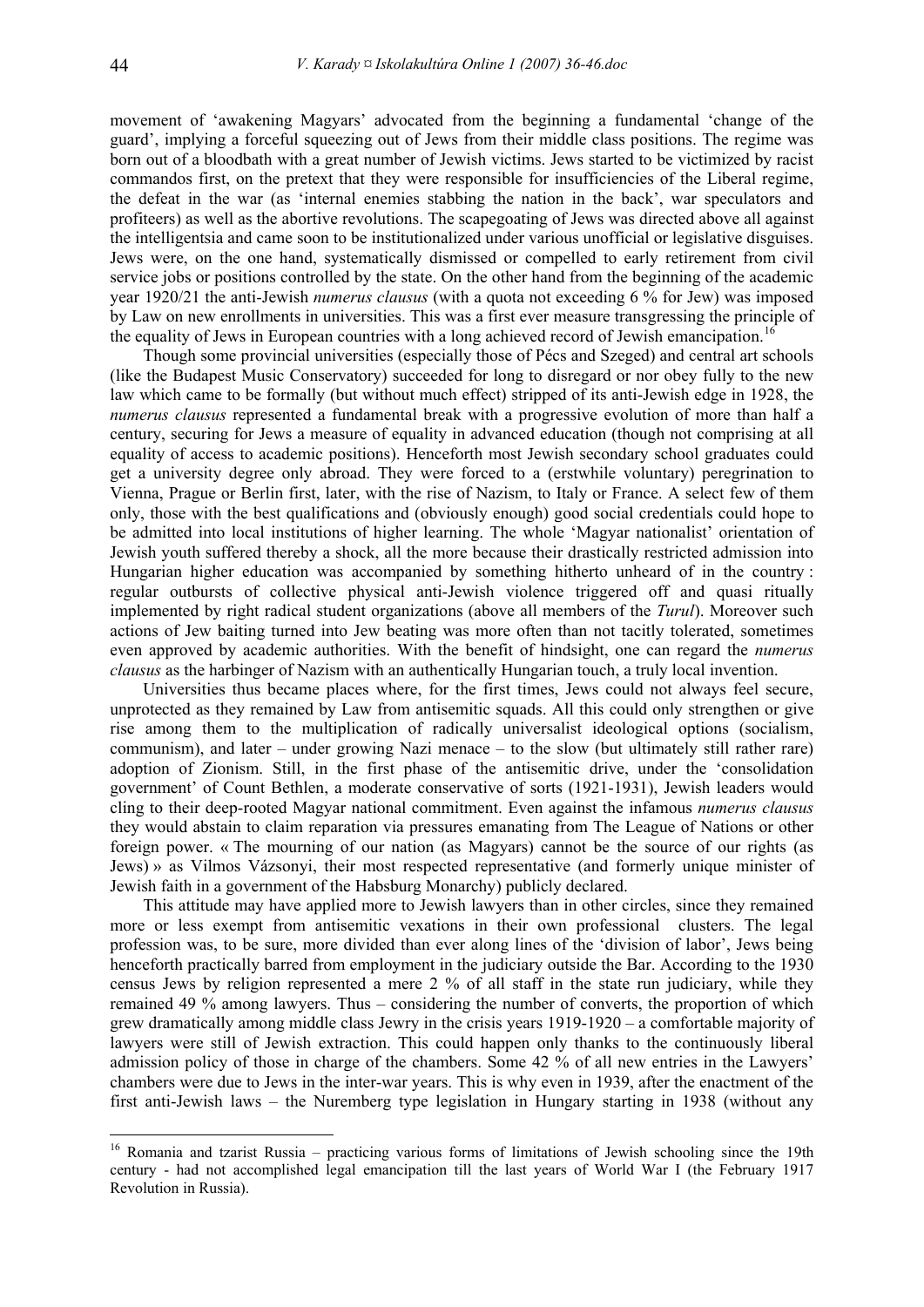movement of 'awakening Magyars' advocated from the beginning a fundamental 'change of the guard', implying a forceful squeezing out of Jews from their middle class positions. The regime was born out of a bloodbath with a great number of Jewish victims. Jews started to be victimized by racist commandos first, on the pretext that they were responsible for insufficiencies of the Liberal regime, the defeat in the war (as 'internal enemies stabbing the nation in the back', war speculators and profiteers) as well as the abortive revolutions. The scapegoating of Jews was directed above all against the intelligentsia and came soon to be institutionalized under various unofficial or legislative disguises. Jews were, on the one hand, systematically dismissed or compelled to early retirement from civil service jobs or positions controlled by the state. On the other hand from the beginning of the academic year 1920/21 the anti-Jewish *numerus clausus* (with a quota not exceeding 6 % for Jew) was imposed by Law on new enrollments in universities. This was a first ever measure transgressing the principle of the equality of Jews in European countries with a long achieved record of Jewish emancipation.<sup>[16](#page-8-0)</sup>

Though some provincial universities (especially those of Pécs and Szeged) and central art schools (like the Budapest Music Conservatory) succeeded for long to disregard or nor obey fully to the new law which came to be formally (but without much effect) stripped of its anti-Jewish edge in 1928, the *numerus clausus* represented a fundamental break with a progressive evolution of more than half a century, securing for Jews a measure of equality in advanced education (though not comprising at all equality of access to academic positions). Henceforth most Jewish secondary school graduates could get a university degree only abroad. They were forced to a (erstwhile voluntary) peregrination to Vienna, Prague or Berlin first, later, with the rise of Nazism, to Italy or France. A select few of them only, those with the best qualifications and (obviously enough) good social credentials could hope to be admitted into local institutions of higher learning. The whole 'Magyar nationalist' orientation of Jewish youth suffered thereby a shock, all the more because their drastically restricted admission into Hungarian higher education was accompanied by something hitherto unheard of in the country : regular outbursts of collective physical anti-Jewish violence triggered off and quasi ritually implemented by right radical student organizations (above all members of the *Turul*). Moreover such actions of Jew baiting turned into Jew beating was more often than not tacitly tolerated, sometimes even approved by academic authorities. With the benefit of hindsight, one can regard the *numerus clausus* as the harbinger of Nazism with an authentically Hungarian touch, a truly local invention.

Universities thus became places where, for the first times, Jews could not always feel secure, unprotected as they remained by Law from antisemitic squads. All this could only strengthen or give rise among them to the multiplication of radically universalist ideological options (socialism, communism), and later – under growing Nazi menace – to the slow (but ultimately still rather rare) adoption of Zionism. Still, in the first phase of the antisemitic drive, under the 'consolidation government' of Count Bethlen, a moderate conservative of sorts (1921-1931), Jewish leaders would cling to their deep-rooted Magyar national commitment. Even against the infamous *numerus clausus* they would abstain to claim reparation via pressures emanating from The League of Nations or other foreign power. « The mourning of our nation (as Magyars) cannot be the source of our rights (as Jews) » as Vilmos Vázsonyi, their most respected representative (and formerly unique minister of Jewish faith in a government of the Habsburg Monarchy) publicly declared.

This attitude may have applied more to Jewish lawyers than in other circles, since they remained more or less exempt from antisemitic vexations in their own professional clusters. The legal profession was, to be sure, more divided than ever along lines of the 'division of labor', Jews being henceforth practically barred from employment in the judiciary outside the Bar. According to the 1930 census Jews by religion represented a mere 2 % of all staff in the state run judiciary, while they remained 49 % among lawyers. Thus – considering the number of converts, the proportion of which grew dramatically among middle class Jewry in the crisis years 1919-1920 – a comfortable majority of lawyers were still of Jewish extraction. This could happen only thanks to the continuously liberal admission policy of those in charge of the chambers. Some 42 % of all new entries in the Lawyers' chambers were due to Jews in the inter-war years. This is why even in 1939, after the enactment of the first anti-Jewish laws – the Nuremberg type legislation in Hungary starting in 1938 (without any

<span id="page-8-0"></span><sup>&</sup>lt;sup>16</sup> Romania and tzarist Russia – practicing various forms of limitations of Jewish schooling since the 19th century - had not accomplished legal emancipation till the last years of World War I (the February 1917 Revolution in Russia).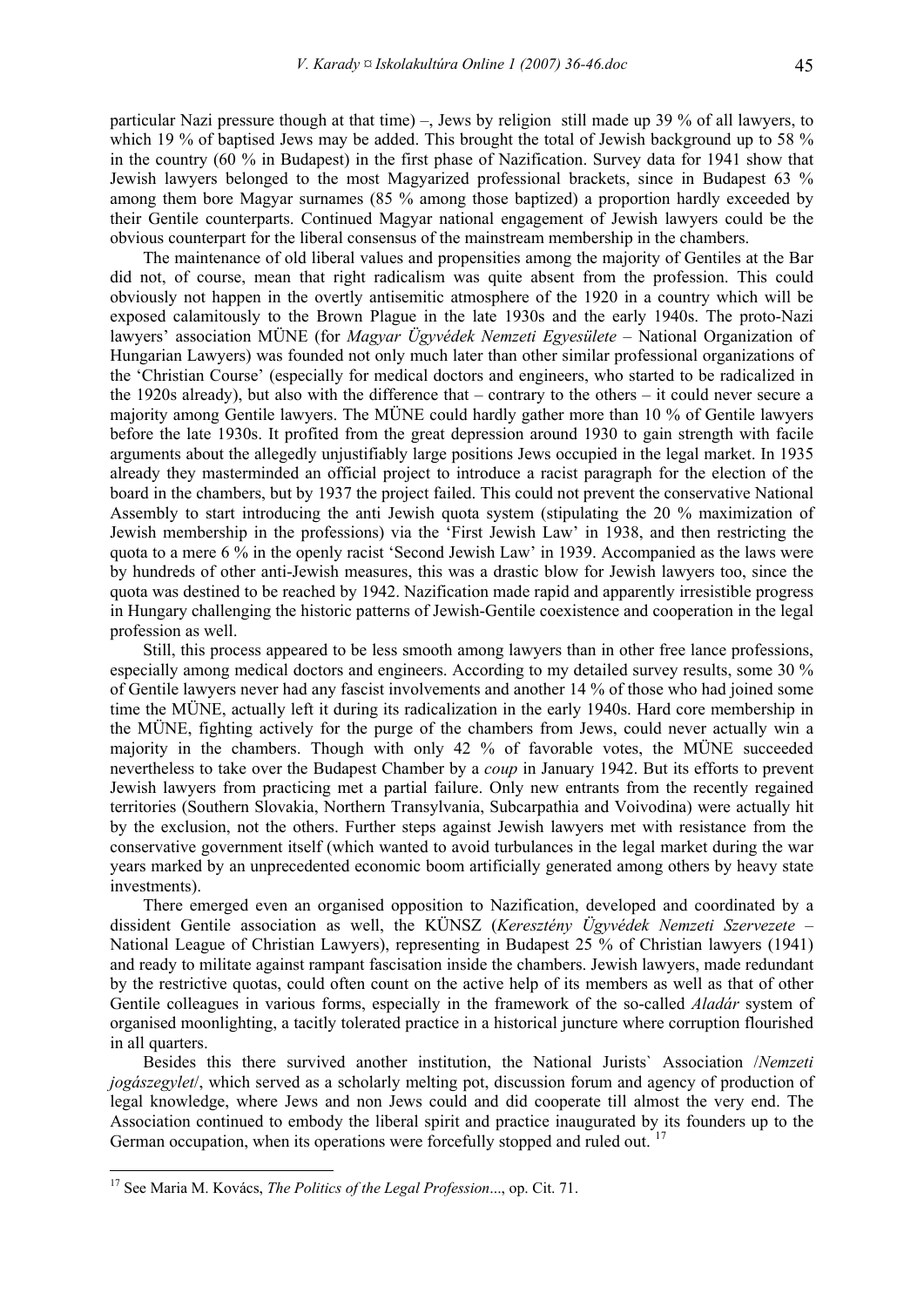particular Nazi pressure though at that time) –, Jews by religion still made up 39 % of all lawyers, to which 19 % of baptised Jews may be added. This brought the total of Jewish background up to 58 % in the country (60 % in Budapest) in the first phase of Nazification. Survey data for 1941 show that Jewish lawyers belonged to the most Magyarized professional brackets, since in Budapest 63 % among them bore Magyar surnames (85 % among those baptized) a proportion hardly exceeded by their Gentile counterparts. Continued Magyar national engagement of Jewish lawyers could be the obvious counterpart for the liberal consensus of the mainstream membership in the chambers.

The maintenance of old liberal values and propensities among the majority of Gentiles at the Bar did not, of course, mean that right radicalism was quite absent from the profession. This could obviously not happen in the overtly antisemitic atmosphere of the 1920 in a country which will be exposed calamitously to the Brown Plague in the late 1930s and the early 1940s. The proto-Nazi lawyers' association MÜNE (for *Magyar Ügyvédek Nemzeti Egyesülete* – National Organization of Hungarian Lawyers) was founded not only much later than other similar professional organizations of the 'Christian Course' (especially for medical doctors and engineers, who started to be radicalized in the 1920s already), but also with the difference that – contrary to the others – it could never secure a majority among Gentile lawyers. The MÜNE could hardly gather more than 10 % of Gentile lawyers before the late 1930s. It profited from the great depression around 1930 to gain strength with facile arguments about the allegedly unjustifiably large positions Jews occupied in the legal market. In 1935 already they masterminded an official project to introduce a racist paragraph for the election of the board in the chambers, but by 1937 the project failed. This could not prevent the conservative National Assembly to start introducing the anti Jewish quota system (stipulating the 20 % maximization of Jewish membership in the professions) via the 'First Jewish Law' in 1938, and then restricting the quota to a mere 6 % in the openly racist 'Second Jewish Law' in 1939. Accompanied as the laws were by hundreds of other anti-Jewish measures, this was a drastic blow for Jewish lawyers too, since the quota was destined to be reached by 1942. Nazification made rapid and apparently irresistible progress in Hungary challenging the historic patterns of Jewish-Gentile coexistence and cooperation in the legal profession as well.

Still, this process appeared to be less smooth among lawyers than in other free lance professions, especially among medical doctors and engineers. According to my detailed survey results, some 30 % of Gentile lawyers never had any fascist involvements and another 14 % of those who had joined some time the MÜNE, actually left it during its radicalization in the early 1940s. Hard core membership in the MÜNE, fighting actively for the purge of the chambers from Jews, could never actually win a majority in the chambers. Though with only 42 % of favorable votes, the MÜNE succeeded nevertheless to take over the Budapest Chamber by a *coup* in January 1942. But its efforts to prevent Jewish lawyers from practicing met a partial failure. Only new entrants from the recently regained territories (Southern Slovakia, Northern Transylvania, Subcarpathia and Voivodina) were actually hit by the exclusion, not the others. Further steps against Jewish lawyers met with resistance from the conservative government itself (which wanted to avoid turbulances in the legal market during the war years marked by an unprecedented economic boom artificially generated among others by heavy state investments).

There emerged even an organised opposition to Nazification, developed and coordinated by a dissident Gentile association as well, the KÜNSZ (*Keresztény Ügyvédek Nemzeti Szervezete* – National League of Christian Lawyers), representing in Budapest 25 % of Christian lawyers (1941) and ready to militate against rampant fascisation inside the chambers. Jewish lawyers, made redundant by the restrictive quotas, could often count on the active help of its members as well as that of other Gentile colleagues in various forms, especially in the framework of the so-called *Aladár* system of organised moonlighting, a tacitly tolerated practice in a historical juncture where corruption flourished in all quarters.

Besides this there survived another institution, the National Jurists` Association /*Nemzeti jogászegylet*/, which served as a scholarly melting pot, discussion forum and agency of production of legal knowledge, where Jews and non Jews could and did cooperate till almost the very end. The Association continued to embody the liberal spirit and practice inaugurated by its founders up to the German occupation, when its operations were forcefully stopped and ruled out.<sup>[17](#page-9-0)</sup>

<span id="page-9-0"></span><sup>17</sup> See Maria M. Kovács, *The Politics of the Legal Profession*..., op. Cit. 71.